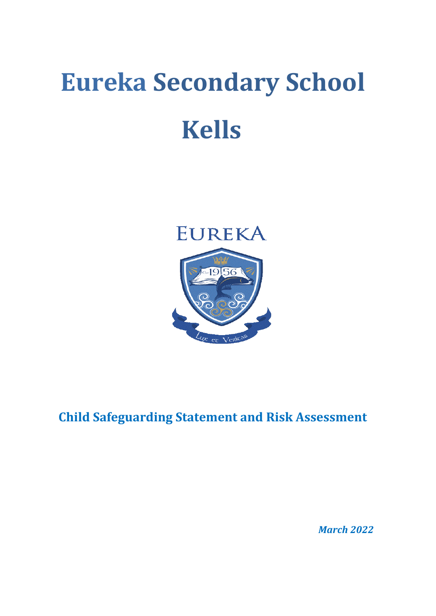# **Eureka Secondary School Kells**



**Child Safeguarding Statement and Risk Assessment**

*March 2022*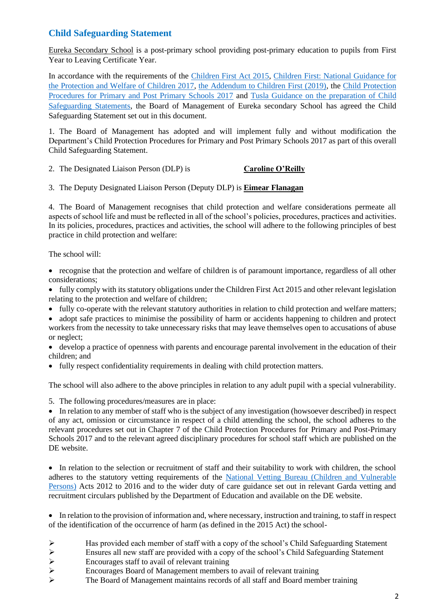### **Child Safeguarding Statement**

Eureka Secondary School is a post-primary school providing post-primary education to pupils from First Year to Leaving Certificate Year.

In accordance with the requirements of the [Children First Act 2015,](http://www.irishstatutebook.ie/eli/2015/act/36/enacted/en/pdf) Children First: National Guidance for [the Protection and Welfare of Children 2017,](https://assets.gov.ie/25844/b90aafa55804462f84d05f87f0ca2bf6.pdf) [the Addendum to Children First \(2019\),](https://assets.gov.ie/25819/c9744b64dfd6447985eeffa5c0d71bbb.pdf) the [Child Protection](https://www.gov.ie/pdf/?file=https://assets.gov.ie/45063/2d4b5b3d781e4ec1ab4f3e5d198717d9.pdf#page=1)  [Procedures for Primary and Post Primary Schools 2017](https://www.gov.ie/pdf/?file=https://assets.gov.ie/45063/2d4b5b3d781e4ec1ab4f3e5d198717d9.pdf#page=1) and [Tusla Guidance on the preparation of Child](https://www.tusla.ie/uploads/content/4214-TUSLA_Guidance_on_Developing_a_CSS_LR.PDF)  [Safeguarding Statements,](https://www.tusla.ie/uploads/content/4214-TUSLA_Guidance_on_Developing_a_CSS_LR.PDF) the Board of Management of Eureka secondary School has agreed the Child Safeguarding Statement set out in this document.

1. The Board of Management has adopted and will implement fully and without modification the Department's Child Protection Procedures for Primary and Post Primary Schools 2017 as part of this overall Child Safeguarding Statement.

- 2. The Designated Liaison Person (DLP) is **Caroline O'Reilly**
- 3. The Deputy Designated Liaison Person (Deputy DLP) is **Eimear Flanagan**

4. The Board of Management recognises that child protection and welfare considerations permeate all aspects of school life and must be reflected in all of the school's policies, procedures, practices and activities. In its policies, procedures, practices and activities, the school will adhere to the following principles of best practice in child protection and welfare:

The school will:

- recognise that the protection and welfare of children is of paramount importance, regardless of all other considerations;
- fully comply with its statutory obligations under the Children First Act 2015 and other relevant legislation relating to the protection and welfare of children;
- fully co-operate with the relevant statutory authorities in relation to child protection and welfare matters;
- adopt safe practices to minimise the possibility of harm or accidents happening to children and protect workers from the necessity to take unnecessary risks that may leave themselves open to accusations of abuse or neglect;
- develop a practice of openness with parents and encourage parental involvement in the education of their children; and
- fully respect confidentiality requirements in dealing with child protection matters.

The school will also adhere to the above principles in relation to any adult pupil with a special vulnerability.

5. The following procedures/measures are in place:

• In relation to any member of staff who is the subject of any investigation (howsoever described) in respect of any act, omission or circumstance in respect of a child attending the school, the school adheres to the relevant procedures set out in Chapter 7 of the Child Protection Procedures for Primary and Post-Primary Schools 2017 and to the relevant agreed disciplinary procedures for school staff which are published on the DE website.

• In relation to the selection or recruitment of staff and their suitability to work with children, the school adheres to the statutory vetting requirements of the [National Vetting Bureau \(Children and Vulnerable](https://revisedacts.lawreform.ie/eli/2012/act/47/revised/en/pdf)  [Persons\)](https://revisedacts.lawreform.ie/eli/2012/act/47/revised/en/pdf) Acts 2012 to 2016 and to the wider duty of care guidance set out in relevant Garda vetting and recruitment circulars published by the Department of Education and available on the DE website.

• In relation to the provision of information and, where necessary, instruction and training, to staff in respect of the identification of the occurrence of harm (as defined in the 2015 Act) the school-

➢ Has provided each member of staff with a copy of the school's Child Safeguarding Statement

 $\triangleright$  Ensures all new staff are provided with a copy of the school's Child Safeguarding Statement

- 
- ▶<br>
Encourages staff to avail of relevant training<br>
►<br>
The Board of Management maintains records ➢ Encourages Board of Management members to avail of relevant training
- ➢ The Board of Management maintains records of all staff and Board member training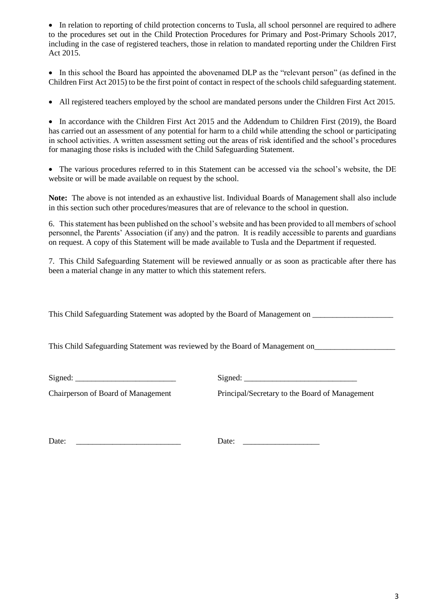• In relation to reporting of child protection concerns to Tusla, all school personnel are required to adhere to the procedures set out in the Child Protection Procedures for Primary and Post-Primary Schools 2017, including in the case of registered teachers, those in relation to mandated reporting under the Children First Act 2015.

• In this school the Board has appointed the abovenamed DLP as the "relevant person" (as defined in the Children First Act 2015) to be the first point of contact in respect of the schools child safeguarding statement.

• All registered teachers employed by the school are mandated persons under the Children First Act 2015.

• In accordance with the Children First Act 2015 and the Addendum to Children First (2019), the Board has carried out an assessment of any potential for harm to a child while attending the school or participating in school activities. A written assessment setting out the areas of risk identified and the school's procedures for managing those risks is included with the Child Safeguarding Statement.

• The various procedures referred to in this Statement can be accessed via the school's website, the DE website or will be made available on request by the school.

**Note:** The above is not intended as an exhaustive list. Individual Boards of Management shall also include in this section such other procedures/measures that are of relevance to the school in question.

6. This statement has been published on the school's website and has been provided to all members of school personnel, the Parents' Association (if any) and the patron. It is readily accessible to parents and guardians on request. A copy of this Statement will be made available to Tusla and the Department if requested.

7. This Child Safeguarding Statement will be reviewed annually or as soon as practicable after there has been a material change in any matter to which this statement refers.

This Child Safeguarding Statement was adopted by the Board of Management on \_\_\_\_\_\_\_\_\_\_\_\_\_\_\_\_\_\_\_\_

This Child Safeguarding Statement was reviewed by the Board of Management on\_\_\_\_\_\_\_\_\_\_\_\_\_\_\_\_\_\_\_\_\_\_\_\_\_\_\_\_\_\_\_\_\_\_

 $Signed:$ 

Chairperson of Board of Management Principal/Secretary to the Board of Management

Date: \_\_\_\_\_\_\_\_\_\_\_\_\_\_\_\_\_\_\_\_\_\_\_\_\_\_ Date: \_\_\_\_\_\_\_\_\_\_\_\_\_\_\_\_\_\_\_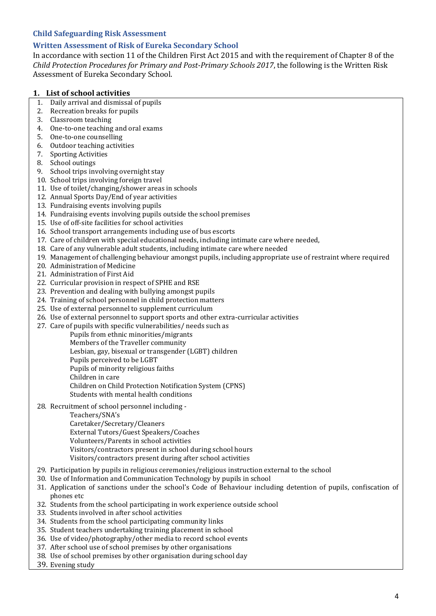#### **Child Safeguarding Risk Assessment**

#### **Written Assessment of Risk of Eureka Secondary School**

In accordance with section 11 of the Children First Act 2015 and with the requirement of Chapter 8 of the *Child Protection Procedures for Primary and Post-Primary Schools 2017*, the following is the Written Risk Assessment of Eureka Secondary School.

#### **1. List of school activities**

- 1. Daily arrival and dismissal of pupils
- 2. Recreation breaks for pupils
- 3. Classroom teaching
- 4. One-to-one teaching and oral exams
- 5. One-to-one counselling
- 6. Outdoor teaching activities
- 7. Sporting Activities
- 8. School outings
- 9. School trips involving overnight stay
- 10. School trips involving foreign travel
- 11. Use of toilet/changing/shower areas in schools
- 12. Annual Sports Day/End of year activities
- 13. Fundraising events involving pupils
- 14. Fundraising events involving pupils outside the school premises
- 15. Use of off-site facilities for school activities
- 16. School transport arrangements including use of bus escorts
- 17. Care of children with special educational needs, including intimate care where needed,
- 18. Care of any vulnerable adult students, including intimate care where needed
- 19. Management of challenging behaviour amongst pupils, including appropriate use of restraint where required
- 20. Administration of Medicine
- 21. Administration of First Aid
- 22. Curricular provision in respect of SPHE and RSE
- 23. Prevention and dealing with bullying amongst pupils
- 24. Training of school personnel in child protection matters
- 25. Use of external personnel to supplement curriculum
- 26. Use of external personnel to support sports and other extra-curricular activities
- 27. Care of pupils with specific vulnerabilities/ needs such as
	- Pupils from ethnic minorities/migrants
	- Members of the Traveller community
	- Lesbian, gay, bisexual or transgender (LGBT) children
	- Pupils perceived to be LGBT
	- Pupils of minority religious faiths
	- Children in care
	- Children on Child Protection Notification System (CPNS)
	- Students with mental health conditions
- 28. Recruitment of school personnel including
	- Teachers/SNA's
		- Caretaker/Secretary/Cleaners External Tutors/Guest Speakers/Coaches Volunteers/Parents in school activities Visitors/contractors present in school during school hours
		- Visitors/contractors present during after school activities
- 29. Participation by pupils in religious ceremonies/religious instruction external to the school
- 30. Use of Information and Communication Technology by pupils in school
- 31. Application of sanctions under the school's Code of Behaviour including detention of pupils, confiscation of phones etc
- 32. Students from the school participating in work experience outside school
- 33. Students involved in after school activities
- 34. Students from the school participating community links
- 35. Student teachers undertaking training placement in school
- 36. Use of video/photography/other media to record school events
- 37. After school use of school premises by other organisations
- 38. Use of school premises by other organisation during school day
- 39. Evening study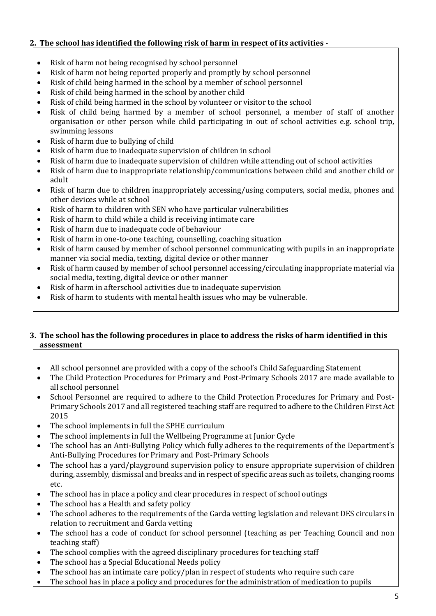#### **2. The school has identified the following risk of harm in respect of its activities -**

- Risk of harm not being recognised by school personnel
- Risk of harm not being reported properly and promptly by school personnel
- Risk of child being harmed in the school by a member of school personnel
- Risk of child being harmed in the school by another child
- Risk of child being harmed in the school by volunteer or visitor to the school
- Risk of child being harmed by a member of school personnel, a member of staff of another organisation or other person while child participating in out of school activities e.g. school trip, swimming lessons
- Risk of harm due to bullying of child
- Risk of harm due to inadequate supervision of children in school
- Risk of harm due to inadequate supervision of children while attending out of school activities
- Risk of harm due to inappropriate relationship/communications between child and another child or adult
- Risk of harm due to children inappropriately accessing/using computers, social media, phones and other devices while at school
- Risk of harm to children with SEN who have particular vulnerabilities
- Risk of harm to child while a child is receiving intimate care
- Risk of harm due to inadequate code of behaviour
- Risk of harm in one-to-one teaching, counselling, coaching situation
- Risk of harm caused by member of school personnel communicating with pupils in an inappropriate manner via social media, texting, digital device or other manner
- Risk of harm caused by member of school personnel accessing/circulating inappropriate material via social media, texting, digital device or other manner
- Risk of harm in afterschool activities due to inadequate supervision
- Risk of harm to students with mental health issues who may be vulnerable.

#### **3. The school has the following procedures in place to address the risks of harm identified in this assessment**

- All school personnel are provided with a copy of the school's Child Safeguarding Statement
- The Child Protection Procedures for Primary and Post-Primary Schools 2017 are made available to all school personnel
- School Personnel are required to adhere to the Child Protection Procedures for Primary and Post-Primary Schools 2017 and all registered teaching staff are required to adhere to the Children First Act 2015
- The school implements in full the SPHE curriculum
- The school implements in full the Wellbeing Programme at Junior Cycle
- The school has an Anti-Bullying Policy which fully adheres to the requirements of the Department's Anti-Bullying Procedures for Primary and Post-Primary Schools
- The school has a vard/playground supervision policy to ensure appropriate supervision of children during, assembly, dismissal and breaks and in respect of specific areas such as toilets, changing rooms etc.
- The school has in place a policy and clear procedures in respect of school outings
- The school has a Health and safety policy
- The school adheres to the requirements of the Garda vetting legislation and relevant DES circulars in relation to recruitment and Garda vetting
- The school has a code of conduct for school personnel (teaching as per Teaching Council and non teaching staff)
- The school complies with the agreed disciplinary procedures for teaching staff
- The school has a Special Educational Needs policy
- The school has an intimate care policy/plan in respect of students who require such care
- The school has in place a policy and procedures for the administration of medication to pupils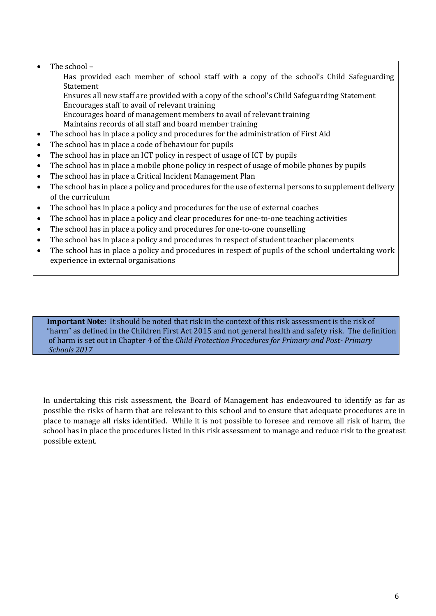#### • The school –

Has provided each member of school staff with a copy of the school's Child Safeguarding Statement

Ensures all new staff are provided with a copy of the school's Child Safeguarding Statement Encourages staff to avail of relevant training

Encourages board of management members to avail of relevant training Maintains records of all staff and board member training

- The school has in place a policy and procedures for the administration of First Aid
- The school has in place a code of behaviour for pupils
- The school has in place an ICT policy in respect of usage of ICT by pupils
- The school has in place a mobile phone policy in respect of usage of mobile phones by pupils
- The school has in place a Critical Incident Management Plan
- The school has in place a policy and procedures for the use of external persons to supplement delivery of the curriculum
- The school has in place a policy and procedures for the use of external coaches
- The school has in place a policy and clear procedures for one-to-one teaching activities
- The school has in place a policy and procedures for one-to-one counselling
- The school has in place a policy and procedures in respect of student teacher placements
- The school has in place a policy and procedures in respect of pupils of the school undertaking work experience in external organisations

**Important Note:** It should be noted that risk in the context of this risk assessment is the risk of "harm" as defined in the Children First Act 2015 and not general health and safety risk. The definition of harm is set out in Chapter 4 of the *Child Protection Procedures for Primary and Post- Primary Schools 2017*

In undertaking this risk assessment, the Board of Management has endeavoured to identify as far as possible the risks of harm that are relevant to this school and to ensure that adequate procedures are in place to manage all risks identified. While it is not possible to foresee and remove all risk of harm, the school has in place the procedures listed in this risk assessment to manage and reduce risk to the greatest possible extent.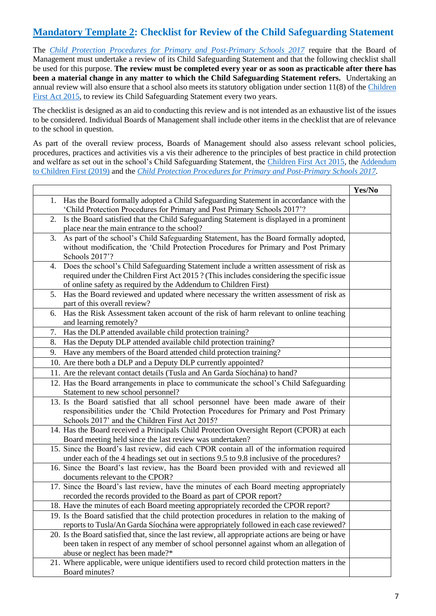## **Mandatory Template 2: Checklist for Review of the Child Safeguarding Statement**

The *[Child Protection Procedures for Primary and Post-Primary Schools 2017](https://www.gov.ie/pdf/?file=https://assets.gov.ie/45063/2d4b5b3d781e4ec1ab4f3e5d198717d9.pdf#page=1)* require that the Board of Management must undertake a review of its Child Safeguarding Statement and that the following checklist shall be used for this purpose. **The review must be completed every year or as soon as practicable after there has been a material change in any matter to which the Child Safeguarding Statement refers.** Undertaking an annual review will also ensure that a school also meets its statutory obligation under section 11(8) of th[e Children](http://www.irishstatutebook.ie/eli/2015/act/36/enacted/en/pdf)  [First Act 2015,](http://www.irishstatutebook.ie/eli/2015/act/36/enacted/en/pdf) to review its Child Safeguarding Statement every two years.

The checklist is designed as an aid to conducting this review and is not intended as an exhaustive list of the issues to be considered. Individual Boards of Management shall include other items in the checklist that are of relevance to the school in question.

As part of the overall review process, Boards of Management should also assess relevant school policies, procedures, practices and activities vis a vis their adherence to the principles of best practice in child protection and welfare as set out in the school's Child Safeguarding Statement, the [Children First Act 2015,](http://www.irishstatutebook.ie/eli/2015/act/36/enacted/en/pdf) the [Addendum](https://assets.gov.ie/25819/c9744b64dfd6447985eeffa5c0d71bbb.pdf)  [to Children First \(2019\)](https://assets.gov.ie/25819/c9744b64dfd6447985eeffa5c0d71bbb.pdf) and the *[Child Protection Procedures for Primary and Post-Primary Schools 2017.](https://www.gov.ie/pdf/?file=https://assets.gov.ie/45063/2d4b5b3d781e4ec1ab4f3e5d198717d9.pdf#page=1)*

|                                                                                                   | Yes/No |
|---------------------------------------------------------------------------------------------------|--------|
| Has the Board formally adopted a Child Safeguarding Statement in accordance with the<br>1.        |        |
| 'Child Protection Procedures for Primary and Post Primary Schools 2017'?                          |        |
| Is the Board satisfied that the Child Safeguarding Statement is displayed in a prominent<br>2.    |        |
| place near the main entrance to the school?                                                       |        |
| As part of the school's Child Safeguarding Statement, has the Board formally adopted,<br>3.       |        |
| without modification, the 'Child Protection Procedures for Primary and Post Primary               |        |
| Schools 2017'?                                                                                    |        |
| Does the school's Child Safeguarding Statement include a written assessment of risk as<br>4.      |        |
| required under the Children First Act 2015? (This includes considering the specific issue         |        |
| of online safety as required by the Addendum to Children First)                                   |        |
| Has the Board reviewed and updated where necessary the written assessment of risk as<br>5.        |        |
| part of this overall review?                                                                      |        |
| Has the Risk Assessment taken account of the risk of harm relevant to online teaching<br>6.       |        |
| and learning remotely?                                                                            |        |
| Has the DLP attended available child protection training?<br>7.                                   |        |
| 8.<br>Has the Deputy DLP attended available child protection training?                            |        |
| Have any members of the Board attended child protection training?<br>9.                           |        |
| 10. Are there both a DLP and a Deputy DLP currently appointed?                                    |        |
| 11. Are the relevant contact details (Tusla and An Garda Síochána) to hand?                       |        |
| 12. Has the Board arrangements in place to communicate the school's Child Safeguarding            |        |
| Statement to new school personnel?                                                                |        |
| 13. Is the Board satisfied that all school personnel have been made aware of their                |        |
| responsibilities under the 'Child Protection Procedures for Primary and Post Primary              |        |
| Schools 2017' and the Children First Act 2015?                                                    |        |
| 14. Has the Board received a Principals Child Protection Oversight Report (CPOR) at each          |        |
| Board meeting held since the last review was undertaken?                                          |        |
| 15. Since the Board's last review, did each CPOR contain all of the information required          |        |
| under each of the 4 headings set out in sections 9.5 to 9.8 inclusive of the procedures?          |        |
| 16. Since the Board's last review, has the Board been provided with and reviewed all              |        |
| documents relevant to the CPOR?                                                                   |        |
| 17. Since the Board's last review, have the minutes of each Board meeting appropriately           |        |
| recorded the records provided to the Board as part of CPOR report?                                |        |
| 18. Have the minutes of each Board meeting appropriately recorded the CPOR report?                |        |
| 19. Is the Board satisfied that the child protection procedures in relation to the making of      |        |
| reports to Tusla/An Garda Síochána were appropriately followed in each case reviewed?             |        |
| 20. Is the Board satisfied that, since the last review, all appropriate actions are being or have |        |
| been taken in respect of any member of school personnel against whom an allegation of             |        |
| abuse or neglect has been made?*                                                                  |        |
| 21. Where applicable, were unique identifiers used to record child protection matters in the      |        |
| Board minutes?                                                                                    |        |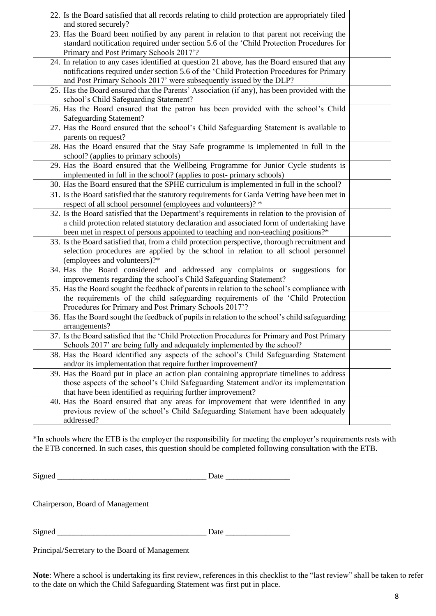| 22. Is the Board satisfied that all records relating to child protection are appropriately filed<br>and stored securely?                                                                                                          |  |
|-----------------------------------------------------------------------------------------------------------------------------------------------------------------------------------------------------------------------------------|--|
| 23. Has the Board been notified by any parent in relation to that parent not receiving the<br>standard notification required under section 5.6 of the 'Child Protection Procedures for<br>Primary and Post Primary Schools 2017'? |  |
| 24. In relation to any cases identified at question 21 above, has the Board ensured that any                                                                                                                                      |  |
| notifications required under section 5.6 of the 'Child Protection Procedures for Primary<br>and Post Primary Schools 2017' were subsequently issued by the DLP?                                                                   |  |
| 25. Has the Board ensured that the Parents' Association (if any), has been provided with the<br>school's Child Safeguarding Statement?                                                                                            |  |
| 26. Has the Board ensured that the patron has been provided with the school's Child                                                                                                                                               |  |
| <b>Safeguarding Statement?</b>                                                                                                                                                                                                    |  |
| 27. Has the Board ensured that the school's Child Safeguarding Statement is available to                                                                                                                                          |  |
| parents on request?                                                                                                                                                                                                               |  |
| 28. Has the Board ensured that the Stay Safe programme is implemented in full in the                                                                                                                                              |  |
| school? (applies to primary schools)                                                                                                                                                                                              |  |
| 29. Has the Board ensured that the Wellbeing Programme for Junior Cycle students is                                                                                                                                               |  |
| implemented in full in the school? (applies to post-primary schools)                                                                                                                                                              |  |
| 30. Has the Board ensured that the SPHE curriculum is implemented in full in the school?                                                                                                                                          |  |
| 31. Is the Board satisfied that the statutory requirements for Garda Vetting have been met in                                                                                                                                     |  |
| respect of all school personnel (employees and volunteers)? *                                                                                                                                                                     |  |
| 32. Is the Board satisfied that the Department's requirements in relation to the provision of                                                                                                                                     |  |
| a child protection related statutory declaration and associated form of undertaking have                                                                                                                                          |  |
| been met in respect of persons appointed to teaching and non-teaching positions?*                                                                                                                                                 |  |
| 33. Is the Board satisfied that, from a child protection perspective, thorough recruitment and                                                                                                                                    |  |
| selection procedures are applied by the school in relation to all school personnel                                                                                                                                                |  |
| (employees and volunteers)?*                                                                                                                                                                                                      |  |
| 34. Has the Board considered and addressed any complaints or suggestions for                                                                                                                                                      |  |
| improvements regarding the school's Child Safeguarding Statement?                                                                                                                                                                 |  |
| 35. Has the Board sought the feedback of parents in relation to the school's compliance with                                                                                                                                      |  |
| the requirements of the child safeguarding requirements of the 'Child Protection                                                                                                                                                  |  |
| Procedures for Primary and Post Primary Schools 2017'?                                                                                                                                                                            |  |
| 36. Has the Board sought the feedback of pupils in relation to the school's child safeguarding                                                                                                                                    |  |
| arrangements?                                                                                                                                                                                                                     |  |
| 37. Is the Board satisfied that the 'Child Protection Procedures for Primary and Post Primary                                                                                                                                     |  |
| Schools 2017' are being fully and adequately implemented by the school?                                                                                                                                                           |  |
| 38. Has the Board identified any aspects of the school's Child Safeguarding Statement                                                                                                                                             |  |
| and/or its implementation that require further improvement?                                                                                                                                                                       |  |
| 39. Has the Board put in place an action plan containing appropriate timelines to address                                                                                                                                         |  |
| those aspects of the school's Child Safeguarding Statement and/or its implementation                                                                                                                                              |  |
| that have been identified as requiring further improvement?                                                                                                                                                                       |  |
| 40. Has the Board ensured that any areas for improvement that were identified in any                                                                                                                                              |  |
| previous review of the school's Child Safeguarding Statement have been adequately                                                                                                                                                 |  |
| addressed?                                                                                                                                                                                                                        |  |

\*In schools where the ETB is the employer the responsibility for meeting the employer's requirements rests with the ETB concerned. In such cases, this question should be completed following consultation with the ETB.

Signed \_\_\_\_\_\_\_\_\_\_\_\_\_\_\_\_\_\_\_\_\_\_\_\_\_\_\_\_\_\_\_\_\_\_\_\_\_ Date \_\_\_\_\_\_\_\_\_\_\_\_\_\_\_\_

Chairperson, Board of Management

Signed \_\_\_\_\_\_\_\_\_\_\_\_\_\_\_\_\_\_\_\_\_\_\_\_\_\_\_\_\_\_\_\_\_\_\_\_\_ Date \_\_\_\_\_\_\_\_\_\_\_\_\_\_\_\_

Principal/Secretary to the Board of Management

**Note**: Where a school is undertaking its first review, references in this checklist to the "last review" shall be taken to refer to the date on which the Child Safeguarding Statement was first put in place.